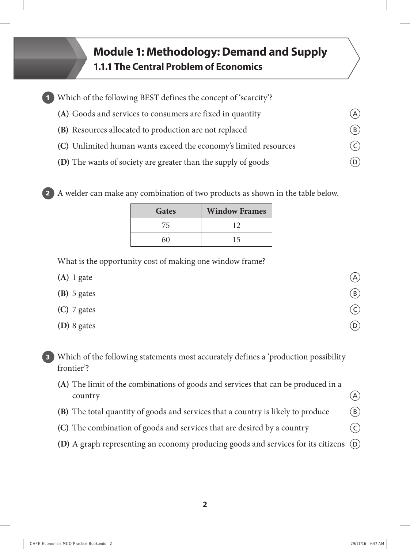## **Module 1: Methodology: Demand and Supply 1.1.1 The Central Problem of Economics**

| 1 Which of the following BEST defines the concept of 'scarcity'? |                           |
|------------------------------------------------------------------|---------------------------|
| (A) Goods and services to consumers are fixed in quantity        | (A)                       |
| (B) Resources allocated to production are not replaced           | $\left(\mathtt{B}\right)$ |
| (C) Unlimited human wants exceed the economy's limited resources | $(\mathsf{C})$            |
| (D) The wants of society are greater than the supply of goods    |                           |

**2** A welder can make any combination of two products as shown in the table below.

| Gates | <b>Window Frames</b> |
|-------|----------------------|
| 75    | 12                   |
| 60    | 15                   |

What is the opportunity cost of making one window frame?

| $(A)$ 1 gate  | (A)                        |
|---------------|----------------------------|
| $(B)$ 5 gates | (B)                        |
| (C) 7 gates   | $\zeta$                    |
| (D) 8 gates   | $\left( \mathsf{D}\right)$ |

- **3** Which of the following statements most accurately defines a 'production possibility frontier'?
	- **(A)** The limit of the combinations of goods and services that can be produced in a  $\alpha$  country  $\left( \Delta \right)$
	- **(B)** The total quantity of goods and services that a country is likely to produce  $\qquad$   $\qquad$   $\qquad$
	- **(C)** The combination of goods and services that are desired by a country  $\qquad \qquad \odot$
	- **(D)** A graph representing an economy producing goods and services for its citizens  $\overline{D}$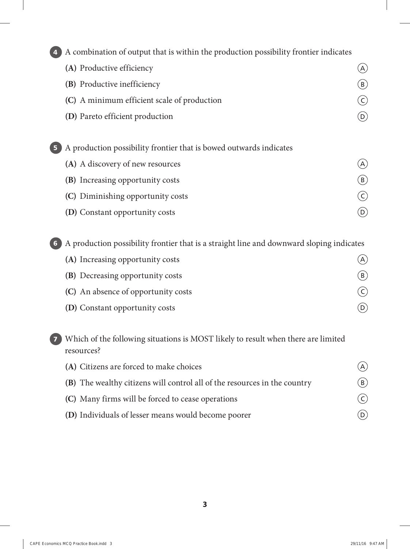**4** A combination of output that is within the production possibility frontier indicates **(A)** Productive efficiency **A**  $\qquad \qquad$  A **(B)** Productive inefficiency **B (C)** A minimum efficient scale of production C **(D)** Pareto efficient production **D 5** A production possibility frontier that is bowed outwards indicates **(A)** A discovery of new resources **A (B)** Increasing opportunity costs **B (C)** Diminishing opportunity costs C **(D)** Constant opportunity costs **D** 

**6** A production possibility frontier that is a straight line and downward sloping indicates

| (A) Increasing opportunity costs        |    |
|-----------------------------------------|----|
| <b>(B)</b> Decreasing opportunity costs | B) |
| (C) An absence of opportunity costs     |    |
| <b>(D)</b> Constant opportunity costs   |    |

**7** Which of the following situations is MOST likely to result when there are limited resources?

| (A) Citizens are forced to make choices                                   | $\mathcal{A}$  |
|---------------------------------------------------------------------------|----------------|
| (B) The wealthy citizens will control all of the resources in the country | (B)            |
| (C) Many firms will be forced to cease operations                         | $(\mathsf{C})$ |
| (D) Individuals of lesser means would become poorer                       |                |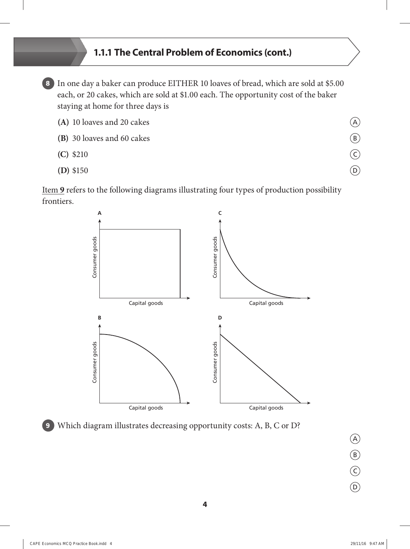## **1.1.1 The Central Problem of Economics (cont.)**

**8** In one day a baker can produce EITHER 10 loaves of bread, which are sold at \$5.00 each, or 20 cakes, which are sold at \$1.00 each. The opportunity cost of the baker staying at home for three days is

| (A) 10 loaves and 20 cakes | (A) |
|----------------------------|-----|
| (B) 30 loaves and 60 cakes | (B) |
| $(C)$ \$210                |     |
| $(D)$ \$150                | D   |

Item **9** refers to the following diagrams illustrating four types of production possibility frontiers.



**9** Which diagram illustrates decreasing opportunity costs: A, B, C or D?

A

B

C

 $\odot$